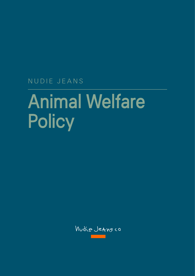NUDIE JEANS

# Animal Welfare **Policy**

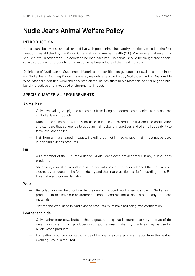# Nudie Jeans Animal Welfare Policy

## INTRODUCTION

Nudie Jeans believes all animals should live with good animal husbandry practices, based on the Five Freedoms established by the World Organization for Animal Health (OIE). We believe that no animal should suffer in order for our products to be manufactured. No animal should be slaughtered specifically to produce our products, but must only be by-products of the meat industry.

Definitions of Nudie Jeans Sustainable Materials and certification guidance are available in the internal Nudie Jeans Sourcing Policy. In general, we define recycled wool, GOTS-certified or Responsible Wool Standard-certified wool and accepted animal hair as sustainable materials, to ensure good husbandry practices and a reduced environmental impact.

### SPECIFIC MATERIAL REQUIREMENTS

#### Animal hair

- Only cow, yak, goat, pig and alpaca hair from living and domesticated animals may be used in Nudie Jeans products.
- Mohair and Cashmere will only be used in Nudie Jeans products if a credible certification and standard that adherence to good animal husbandry practices and offer full traceability to farm level are applied.
- Hair from animals reared in cages, including but not limited to rabbit hair, must not be used in any Nudie Jeans products.

Fur

- As a member of the Fur Free Alliance, Nudie Jeans does not accept fur in any Nudie Jeans products.
- Sheepskin, cow skin, lambskin and leather with hair or fur fibers attached thereto, are considered by-products of the food industry and thus not classified as 'fur' according to the Fur Free Retailer program definition.

#### Wool

- Recycled wool will be prioritized before newly produced wool when possible for Nudie Jeans products, to minimize our environmental impact and maximize the use of already produced materials.
- Any merino wool used in Nudie Jeans products must have mulesing-free certification.

#### Leather and hide

- Only leather from cow, buffalo, sheep, goat, and pig that is sourced as a by-product of the meat industry and from producers with good animal husbandry practices may be used in Nudie Jeans products.
- For leather producers located outside of Europe, a gold-rated classification from the Leather Working Group is required.